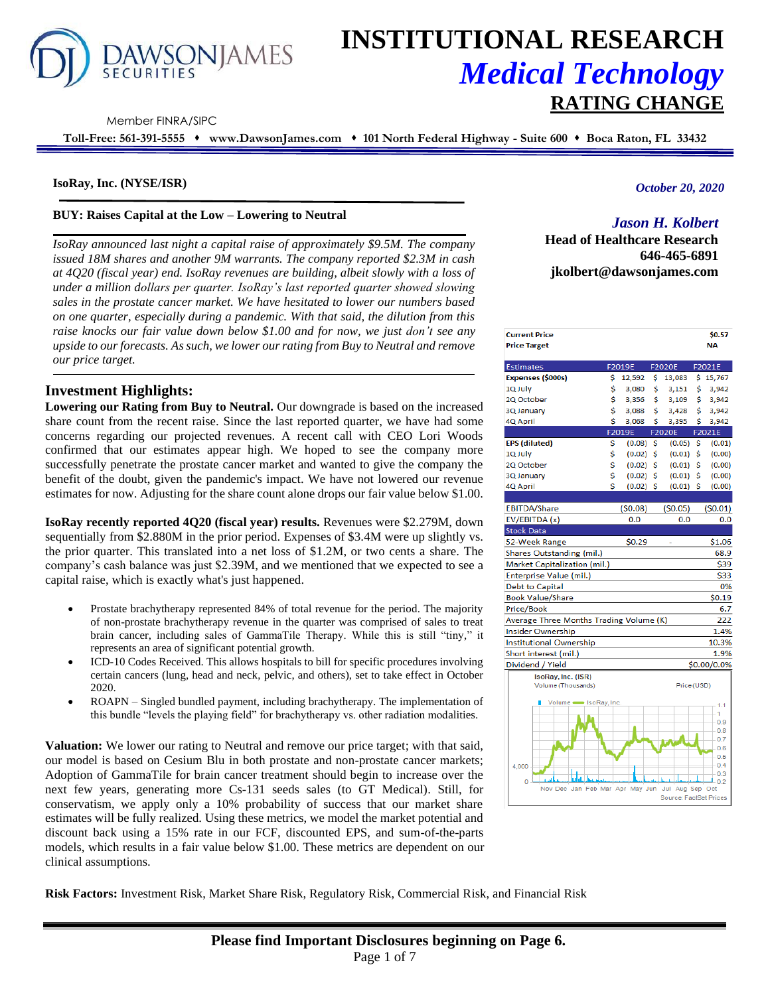

# **INSTITUTIONAL RESEARCH** *Medical Technology* **RATING CHANGE**

Member FINRA/SIPC

**Toll-Free: 561-391-5555** ⬧ **www.DawsonJames.com** ⬧ **101 North Federal Highway - Suite 600** ⬧ **Boca Raton, FL 33432**

#### **IsoRay, Inc. (NYSE/ISR)**

#### **BUY: Raises Capital at the Low – Lowering to Neutral**

*IsoRay announced last night a capital raise of approximately \$9.5M. The company issued 18M shares and another 9M warrants. The company reported \$2.3M in cash at 4Q20 (fiscal year) end. IsoRay revenues are building, albeit slowly with a loss of under a million dollars per quarter. IsoRay's last reported quarter showed slowing sales in the prostate cancer market. We have hesitated to lower our numbers based on one quarter, especially during a pandemic. With that said, the dilution from this raise knocks our fair value down below \$1.00 and for now, we just don't see any upside to our forecasts. As such, we lower our rating from Buy to Neutral and remove our price target.*

# **Investment Highlights:**

**Lowering our Rating from Buy to Neutral.** Our downgrade is based on the increased share count from the recent raise. Since the last reported quarter, we have had some concerns regarding our projected revenues. A recent call with CEO Lori Woods confirmed that our estimates appear high. We hoped to see the company more successfully penetrate the prostate cancer market and wanted to give the company the benefit of the doubt, given the pandemic's impact. We have not lowered our revenue estimates for now. Adjusting for the share count alone drops our fair value below \$1.00.

**IsoRay recently reported 4Q20 (fiscal year) results.** Revenues were \$2.279M, down sequentially from \$2.880M in the prior period. Expenses of \$3.4M were up slightly vs. the prior quarter. This translated into a net loss of \$1.2M, or two cents a share. The company's cash balance was just \$2.39M, and we mentioned that we expected to see a capital raise, which is exactly what's just happened.

- Prostate brachytherapy represented 84% of total revenue for the period. The majority of non-prostate brachytherapy revenue in the quarter was comprised of sales to treat brain cancer, including sales of GammaTile Therapy. While this is still "tiny," it represents an area of significant potential growth.
- ICD-10 Codes Received. This allows hospitals to bill for specific procedures involving certain cancers (lung, head and neck, pelvic, and others), set to take effect in October 2020.
- ROAPN Singled bundled payment, including brachytherapy. The implementation of this bundle "levels the playing field" for brachytherapy vs. other radiation modalities.

**Valuation:** We lower our rating to Neutral and remove our price target; with that said, our model is based on Cesium Blu in both prostate and non-prostate cancer markets; Adoption of GammaTile for brain cancer treatment should begin to increase over the next few years, generating more Cs-131 seeds sales (to GT Medical). Still, for conservatism, we apply only a 10% probability of success that our market share estimates will be fully realized. Using these metrics, we model the market potential and discount back using a 15% rate in our FCF, discounted EPS, and sum-of-the-parts models, which results in a fair value below \$1.00. These metrics are dependent on our clinical assumptions.

*October 20, 2020*

# *Jason H. Kolbert*

**Head of Healthcare Research 646-465-6891 jkolbert@dawsonjames.com**

| <b>Current Price</b><br><b>Price Target</b>       |                   |     |                        |     | \$0.57<br><b>NA</b> |
|---------------------------------------------------|-------------------|-----|------------------------|-----|---------------------|
| <b>Estimates</b>                                  | F2019E            |     | F2020E                 |     | F2021E              |
| Expenses (\$000s)                                 | \$<br>12,592      | \$  | 13,083                 |     | \$15,767            |
| 1Q July                                           | \$<br>3,080       | \$  | 3,151                  | \$  | 3,942               |
| 2Q October                                        | \$<br>3,356       | \$  | 3,109                  | \$  | 3,942               |
| 3Q January                                        | \$<br>3,088       | \$  | 3,428                  | Ś   | 3,942               |
| 4Q April                                          | \$<br>3,068       | \$  | 3,395                  | \$  | 3,942               |
|                                                   | F2019E            |     | <b>F2020E</b>          |     | F2021E              |
| EPS (diluted)                                     | \$<br>(0.08)      | -\$ | (0.05)                 | \$  | (0.01)              |
| 1Q July                                           | \$<br>(0.02)      | -\$ | (0.01)                 | \$  | (0.00)              |
| 2Q October                                        | \$<br>(0.02)      | \$  | (0.01)                 | -Ŝ  | (0.00)              |
| 3Q January                                        | \$<br>(0.02)      | -\$ | (0.01)                 | -\$ | (0.00)              |
| 4Q April                                          | \$<br>$(0.02)$ \$ |     | $(0.01)$ \$            |     | (0.00)              |
|                                                   |                   |     |                        |     |                     |
| <b>EBITDA/Share</b>                               | (50.08)           |     | (50.05)                |     | (50.01)             |
| EV/EBITDA (x)                                     | 0.0               |     | 0.0                    |     | 0.0                 |
| Stock Data                                        |                   |     |                        |     |                     |
| 52-Week Range                                     | \$0.29            |     |                        |     | \$1.06              |
| Shares Outstanding (mil.)                         |                   |     |                        |     | 68.9                |
| Market Capitalization (mil.)                      |                   |     |                        |     | \$39                |
| Enterprise Value (mil.)                           |                   |     |                        |     | \$33                |
| <b>Debt to Capital</b>                            |                   |     |                        |     | 0%                  |
| <b>Book Value/Share</b>                           |                   |     |                        |     | \$0.19              |
| Price/Book                                        |                   |     |                        |     | 6.7                 |
| Average Three Months Trading Volume (K)           |                   |     |                        |     | 222                 |
| Insider Ownership                                 |                   |     |                        |     | 1.4%                |
| <b>Institutional Ownership</b>                    |                   |     |                        |     | 10.3%               |
| Short interest (mil.)                             |                   |     |                        |     | 1.9%                |
| Dividend / Yield                                  |                   |     |                        |     | \$0.00/0.0%         |
| IsoRay, Inc. (ISR)                                |                   |     |                        |     |                     |
| Volume (Thousands)                                |                   |     | Price (USD)            |     |                     |
|                                                   |                   |     |                        |     |                     |
| Volume SoRay, Inc.                                |                   |     |                        |     | 11                  |
|                                                   |                   |     |                        |     | 1<br>0.9            |
|                                                   |                   |     |                        |     | 0.8                 |
|                                                   |                   |     |                        |     | 0.7                 |
|                                                   |                   |     |                        |     | 0.6<br>0.5          |
| 4,000                                             |                   |     |                        |     | 0.4                 |
|                                                   |                   |     |                        |     | 0.3                 |
| $\overline{0}$<br>Nov Dec Jan Feb Mar Apr May Jun |                   |     | Jul<br>Aug Sep         |     | 0.2<br>Oct          |
|                                                   |                   |     | Source: FactSet Prices |     |                     |

**Risk Factors:** Investment Risk, Market Share Risk, Regulatory Risk, Commercial Risk, and Financial Risk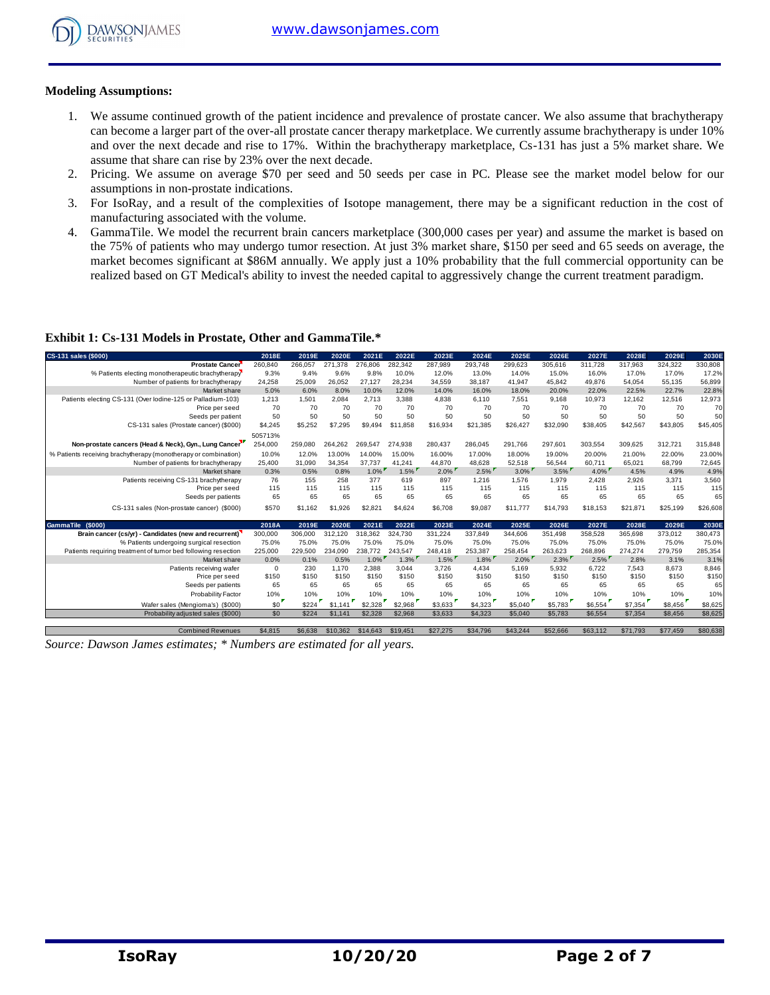

#### **Modeling Assumptions:**

- 1. We assume continued growth of the patient incidence and prevalence of prostate cancer. We also assume that brachytherapy can become a larger part of the over-all prostate cancer therapy marketplace. We currently assume brachytherapy is under 10% and over the next decade and rise to 17%. Within the brachytherapy marketplace, Cs-131 has just a 5% market share. We assume that share can rise by 23% over the next decade.
- 2. Pricing. We assume on average \$70 per seed and 50 seeds per case in PC. Please see the market model below for our assumptions in non-prostate indications.
- 3. For IsoRay, and a result of the complexities of Isotope management, there may be a significant reduction in the cost of manufacturing associated with the volume.
- 4. GammaTile. We model the recurrent brain cancers marketplace (300,000 cases per year) and assume the market is based on the 75% of patients who may undergo tumor resection. At just 3% market share, \$150 per seed and 65 seeds on average, the market becomes significant at \$86M annually. We apply just a 10% probability that the full commercial opportunity can be realized based on GT Medical's ability to invest the needed capital to aggressively change the current treatment paradigm.

## **Exhibit 1: Cs-131 Models in Prostate, Other and GammaTile.\***

| CS-131 sales (\$000)                                            | 2018E       | 2019E   | 2020E    | 2021E    | 2022E    | 2023E    | 2024E    | 2025E    | 2026E    | 2027E    | 2028E    | 2029E    | 2030E    |
|-----------------------------------------------------------------|-------------|---------|----------|----------|----------|----------|----------|----------|----------|----------|----------|----------|----------|
| <b>Prostate Cancer</b>                                          | 260,840     | 266,057 | 271,378  | 276,806  | 282,342  | 287,989  | 293,748  | 299,623  | 305,616  | 311,728  | 317,963  | 324,322  | 330,808  |
| % Patients electing monotherapeutic brachytherapy               | 9.3%        | 9.4%    | 9.6%     | 9.8%     | 10.0%    | 12.0%    | 13.0%    | 14.0%    | 15.0%    | 16.0%    | 17.0%    | 17.0%    | 17.2%    |
| Number of patients for brachytherapy                            | 24,258      | 25,009  | 26.052   | 27.127   | 28,234   | 34,559   | 38.187   | 41,947   | 45.842   | 49.876   | 54,054   | 55.135   | 56,899   |
| Market share                                                    | 5.0%        | 6.0%    | 8.0%     | 10.0%    | 12.0%    | 14.0%    | 16.0%    | 18.0%    | 20.0%    | 22.0%    | 22.5%    | 22.7%    | 22.8%    |
| Patients electing CS-131 (Over lodine-125 or Palladium-103)     | 1,213       | 1,501   | 2.084    | 2,713    | 3,388    | 4,838    | 6.110    | 7,551    | 9,168    | 10,973   | 12,162   | 12,516   | 12,973   |
| Price per seed                                                  | 70          | 70      | 70       | 70       | 70       | 70       | 70       | 70       | 70       | 70       | 70       | 70       | 70       |
| Seeds per patient                                               | 50          | 50      | 50       | 50       | 50       | 50       | 50       | 50       | 50       | 50       | 50       | 50       | 50       |
| CS-131 sales (Prostate cancer) (\$000)                          | \$4,245     | \$5,252 | \$7,295  | \$9,494  | \$11,858 | \$16,934 | \$21,385 | \$26,427 | \$32,090 | \$38,405 | \$42,567 | \$43,805 | \$45,405 |
|                                                                 | 505713%     |         |          |          |          |          |          |          |          |          |          |          |          |
| Non-prostate cancers (Head & Neck), Gyn., Lung Cancer           | 254,000     | 259.080 | 264,262  | 269.547  | 274.938  | 280,437  | 286.045  | 291.766  | 297,601  | 303,554  | 309.625  | 312.721  | 315,848  |
| % Patients receiving brachytherapy (monotherapy or combination) | 10.0%       | 12.0%   | 13.00%   | 14.00%   | 15.00%   | 16.00%   | 17.00%   | 18.00%   | 19.00%   | 20.00%   | 21.00%   | 22.00%   | 23.00%   |
| Number of patients for brachytherapy                            | 25,400      | 31.090  | 34.354   | 37.737   | 41.241   | 44.870   | 48.628   | 52,518   | 56,544   | 60.711   | 65.021   | 68.799   | 72,645   |
| Market share                                                    | 0.3%        | 0.5%    | 0.8%     | $1.0\%$  | 1.5%     | $2.0\%$  | $2.5\%$  | $3.0\%$  | $3.5\%$  | $4.0\%$  | 4.5%     | 4.9%     | 4.9%     |
| Patients receiving CS-131 brachytherapy                         | 76          | 155     | 258      | 377      | 619      | 897      | 1.216    | 1.576    | 1.979    | 2.428    | 2.926    | 3.371    | 3,560    |
| Price per seed                                                  | 115         | 115     | 115      | 115      | 115      | 115      | 115      | 115      | 115      | 115      | 115      | 115      | 115      |
| Seeds per patients                                              | 65          | 65      | 65       | 65       | 65       | 65       | 65       | 65       | 65       | 65       | 65       | 65       | 65       |
| CS-131 sales (Non-prostate cancer) (\$000)                      | \$570       | \$1,162 | \$1,926  | \$2,821  | \$4,624  | \$6,708  | \$9,087  | \$11,777 | \$14,793 | \$18,153 | \$21.871 | \$25.199 | \$26,608 |
| GammaTile (\$000)                                               | 2018A       | 2019E   | 2020E    | 2021E    | 2022E    | 2023E    | 2024E    | 2025E    | 2026E    | 2027E    | 2028E    | 2029E    | 2030E    |
| Brain cancer (cs/yr) - Candidates (new and recurrent)'          | 300,000     | 306,000 | 312,120  | 318,362  | 324.730  | 331,224  | 337,849  | 344,606  | 351,498  | 358,528  | 365,698  | 373,012  | 380,473  |
| % Patients undergoing surgical resection                        | 75.0%       | 75.0%   | 75.0%    | 75.0%    | 75.0%    | 75.0%    | 75.0%    | 75.0%    | 75.0%    | 75.0%    | 75.0%    | 75.0%    | 75.0%    |
| Patients requiring treatment of tumor bed following resection   | 225,000     | 229,500 | 234.090  | 238,772  | 243.547  | 248,418  | 253.387  | 258.454  | 263.623  | 268.896  | 274.274  | 279.759  | 285,354  |
| Market share                                                    | 0.0%        | 0.1%    | 0.5%     | $1.0\%$  | $1.3\%$  | $1.5\%$  | $1.8\%$  | $2.0\%$  | $2.3\%$  | $2.5\%$  | 2.8%     | 3.1%     | 3.1%     |
| Patients receiving wafer                                        | $\mathbf 0$ | 230     | 1.170    | 2,388    | 3,044    | 3,726    | 4,434    | 5.169    | 5,932    | 6,722    | 7.543    | 8.673    | 8,846    |
| Price per seed                                                  | \$150       | \$150   | \$150    | \$150    | \$150    | \$150    | \$150    | \$150    | \$150    | \$150    | \$150    | \$150    | \$150    |
| Seeds per patients                                              | 65          | 65      | 65       | 65       | 65       | 65       | 65       | 65       | 65       | 65       | 65       | 65       | 65       |
| <b>Probability Factor</b>                                       | 10%         | 10%     | 10%      | 10%      | 10%      | 10%      | 10%      | 10%      | 10%      | 10%      | 10%      | 10%      | 10%      |
| Wafer sales (Mengioma's) (\$000)                                | \$0         | \$224   | \$1,141  | \$2,328  | \$2,968  | \$3,633  | \$4,323  | \$5,040  | \$5,783  | \$6,554  | \$7,354  | \$8,456  | \$8,625  |
| Probability adjusted sales (\$000)                              | \$0         | \$224   | \$1,141  | \$2,328  | \$2,968  | \$3,633  | \$4,323  | \$5,040  | \$5,783  | \$6,554  | \$7,354  | \$8,456  | \$8,625  |
| <b>Combined Revenues</b>                                        | \$4,815     | \$6,638 | \$10,362 | \$14,643 | \$19,451 | \$27,275 | \$34,796 | \$43,244 | \$52,666 | \$63,112 | \$71,793 | \$77,459 | \$80,638 |

*Source: Dawson James estimates; \* Numbers are estimated for all years.*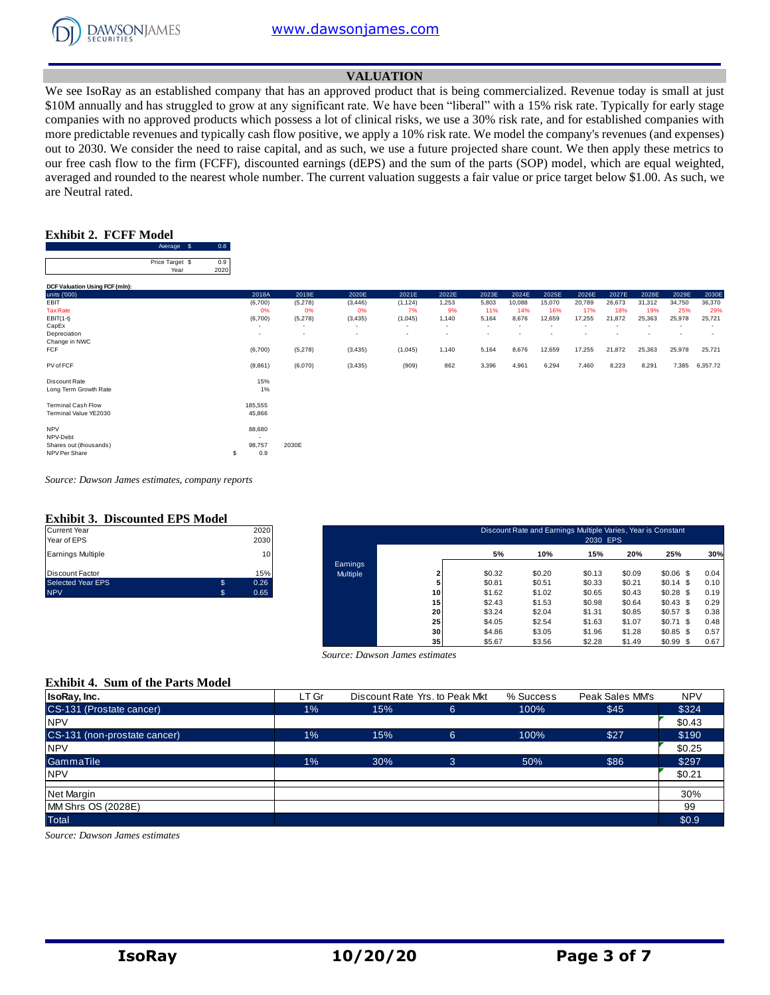

#### **VALUATION**

We see IsoRay as an established company that has an approved product that is being commercialized. Revenue today is small at just \$10M annually and has struggled to grow at any significant rate. We have been "liberal" with a 15% risk rate. Typically for early stage companies with no approved products which possess a lot of clinical risks, we use a 30% risk rate, and for established companies with more predictable revenues and typically cash flow positive, we apply a 10% risk rate. We model the company's revenues (and expenses) out to 2030. We consider the need to raise capital, and as such, we use a future projected share count. We then apply these metrics to our free cash flow to the firm (FCFF), discounted earnings (dEPS) and the sum of the parts (SOP) model, which are equal weighted, averaged and rounded to the nearest whole number. The current valuation suggests a fair value or price target below \$1.00. As such, we are Neutral rated.

#### **Exhibit 2. FCFF Model**

 $0.8$ 

|                                | Average<br>- \$ | 0.8  |                          |                          |          |                          |                          |                          |                          |        |        |        |                          |        |                          |
|--------------------------------|-----------------|------|--------------------------|--------------------------|----------|--------------------------|--------------------------|--------------------------|--------------------------|--------|--------|--------|--------------------------|--------|--------------------------|
|                                | Price Target \$ | 0.9  |                          |                          |          |                          |                          |                          |                          |        |        |        |                          |        |                          |
|                                | Year            | 2020 |                          |                          |          |                          |                          |                          |                          |        |        |        |                          |        |                          |
| DCF Valuation Using FCF (mln): |                 |      |                          |                          |          |                          |                          |                          |                          |        |        |        |                          |        |                          |
| units ('000)                   |                 |      | 2018A                    | 2019E                    | 2020E    | 2021E                    | 2022E                    | 2023E                    | 2024E                    | 2025E  | 2026E  | 2027E  | 2028E                    | 2029E  | 2030E                    |
| EBIT                           |                 |      | (6,700)                  | (5,278)                  | (3, 446) | (1, 124)                 | 1,253                    | 5,803                    | 10,088                   | 15,070 | 20,789 | 26,673 | 31,312                   | 34,750 | 36,370                   |
| <b>Tax Rate</b>                |                 |      | 0%                       | 0%                       | 0%       | 7%                       | 9%                       | 11%                      | 14%                      | 16%    | 17%    | 18%    | 19%                      | 25%    | 29%                      |
| $EBIT(1-t)$                    |                 |      | (6,700)                  | (5,278)                  | (3, 435) | (1,045)                  | 1,140                    | 5,164                    | 8,676                    | 12,659 | 17,255 | 21,872 | 25,363                   | 25,978 | 25,721                   |
| CapEx                          |                 |      | $\overline{\phantom{a}}$ | $\overline{\phantom{a}}$ | $\sim$   | $\sim$                   | $\sim$                   | $\sim$                   | $\overline{\phantom{a}}$ |        |        |        | $\overline{\phantom{a}}$ |        | $\overline{\phantom{a}}$ |
| Depreciation                   |                 |      | $\sim$                   | $\overline{\phantom{a}}$ | $\sim$   | $\overline{\phantom{a}}$ | $\overline{\phantom{a}}$ | $\overline{\phantom{a}}$ |                          |        |        |        | ٠                        |        | $\overline{\phantom{a}}$ |
| Change in NWC                  |                 |      |                          |                          |          |                          |                          |                          |                          |        |        |        |                          |        |                          |
| <b>FCF</b>                     |                 |      | (6,700)                  | (5,278)                  | (3, 435) | (1,045)                  | 1,140                    | 5,164                    | 8,676                    | 12,659 | 17,255 | 21,872 | 25,363                   | 25,978 | 25,721                   |
| PV of FCF                      |                 |      | (8,861)                  | (6,070)                  | (3, 435) | (909)                    | 862                      | 3,396                    | 4,961                    | 6,294  | 7,460  | 8,223  | 8,291                    | 7,385  | 6,357.72                 |
| Discount Rate                  |                 |      | 15%                      |                          |          |                          |                          |                          |                          |        |        |        |                          |        |                          |
| Long Term Growth Rate          |                 |      | 1%                       |                          |          |                          |                          |                          |                          |        |        |        |                          |        |                          |
| <b>Terminal Cash Flow</b>      |                 |      | 185,555                  |                          |          |                          |                          |                          |                          |        |        |        |                          |        |                          |
| Terminal Value YE2030          |                 |      | 45,866                   |                          |          |                          |                          |                          |                          |        |        |        |                          |        |                          |
| <b>NPV</b>                     |                 |      | 88,680                   |                          |          |                          |                          |                          |                          |        |        |        |                          |        |                          |
| NPV-Debt                       |                 |      |                          |                          |          |                          |                          |                          |                          |        |        |        |                          |        |                          |
| Shares out (thousands)         |                 |      | 98,757                   | 2030E                    |          |                          |                          |                          |                          |        |        |        |                          |        |                          |
| NPV Per Share                  |                 | S    | 0.9                      |                          |          |                          |                          |                          |                          |        |        |        |                          |        |                          |

*Source: Dawson James estimates, company reports*

# **Exhibit 3. Discounted EPS Model**

| <b>Current Year</b>      | 2020       |
|--------------------------|------------|
| Year of EPS              | 2030       |
| <b>Earnings Multiple</b> | 10         |
| Discount Factor          | 15%        |
| <b>Selected Year EPS</b> | \$<br>0.26 |
| <b>NPV</b>               | 0.65       |

| Current Year<br>Year of EPS |                | 2020<br>2030    |          |                 |        | Discount Rate and Earnings Multiple Varies, Year is Constant | 2030 EPS |        |             |      |
|-----------------------------|----------------|-----------------|----------|-----------------|--------|--------------------------------------------------------------|----------|--------|-------------|------|
| Earnings Multiple           |                | 10 <sup>1</sup> |          |                 | 5%     | 10%                                                          | 15%      | 20%    | 25%         | 30%  |
|                             |                |                 | Earnings |                 |        |                                                              |          |        |             |      |
| Discount Factor             |                | 15%             | Multiple |                 | \$0.32 | \$0.20                                                       | \$0.13   | \$0.09 | $$0.06$$ \$ | 0.04 |
| Selected Year EPS           | $\mathfrak{s}$ | 0.26            |          |                 | \$0.81 | \$0.51                                                       | \$0.33   | \$0.21 | $$0.14$ \$  | 0.10 |
| <b>NPV</b>                  | .S             | 0.65            |          | 10              | \$1.62 | \$1.02                                                       | \$0.65   | \$0.43 | \$0.28\$    | 0.19 |
|                             |                |                 |          | 15              | \$2.43 | \$1.53                                                       | \$0.98   | \$0.64 | \$0.43\$    | 0.29 |
|                             |                |                 |          | 20              | \$3.24 | \$2.04                                                       | \$1.31   | \$0.85 | $$0.57$ \$  | 0.38 |
|                             |                |                 |          | 25              | \$4.05 | \$2.54                                                       | \$1.63   | \$1.07 | $$0.71$ \$  | 0.48 |
|                             |                |                 |          | 30              | \$4.86 | \$3.05                                                       | \$1.96   | \$1.28 | $$0.85$ \$  | 0.57 |
|                             |                |                 |          | 35 <sub>1</sub> | \$5.67 | \$3.56                                                       | \$2.28   | \$1.49 | $$0.99$ \$  | 0.67 |

#### **Exhibit 4. Sum of the Parts Model**

|                                          |       |                                |                                |           | .               | .<br>$  -$ |
|------------------------------------------|-------|--------------------------------|--------------------------------|-----------|-----------------|------------|
|                                          |       | Source: Dawson James estimates |                                |           |                 |            |
| <b>Exhibit 4. Sum of the Parts Model</b> |       |                                |                                |           |                 |            |
| IsoRay, Inc.                             | LT Gr |                                | Discount Rate Yrs. to Peak Mkt | % Success | Peak Sales MM's | <b>NPV</b> |
| CS-131 (Prostate cancer)                 | $1\%$ | 15%                            | 6                              | 100%      | \$45            | \$324      |
| <b>NPV</b>                               |       |                                |                                |           |                 | \$0.43     |
| CS-131 (non-prostate cancer)             | $1\%$ | 15%                            | 6                              | 100%      | \$27            | \$190      |
| <b>NPV</b>                               |       |                                |                                |           |                 | \$0.25     |
| GammaTile                                | 1%    | 30%                            | $\overline{3}$                 | 50%       | \$86            | \$297      |
| <b>NPV</b>                               |       |                                |                                |           |                 | \$0.21     |
| Net Margin                               |       |                                |                                |           |                 | 30%        |
| MM Shrs OS (2028E)                       |       |                                |                                |           |                 | 99         |
| <b>Total</b>                             |       |                                |                                |           |                 | \$0.9      |

*Source: Dawson James estimates*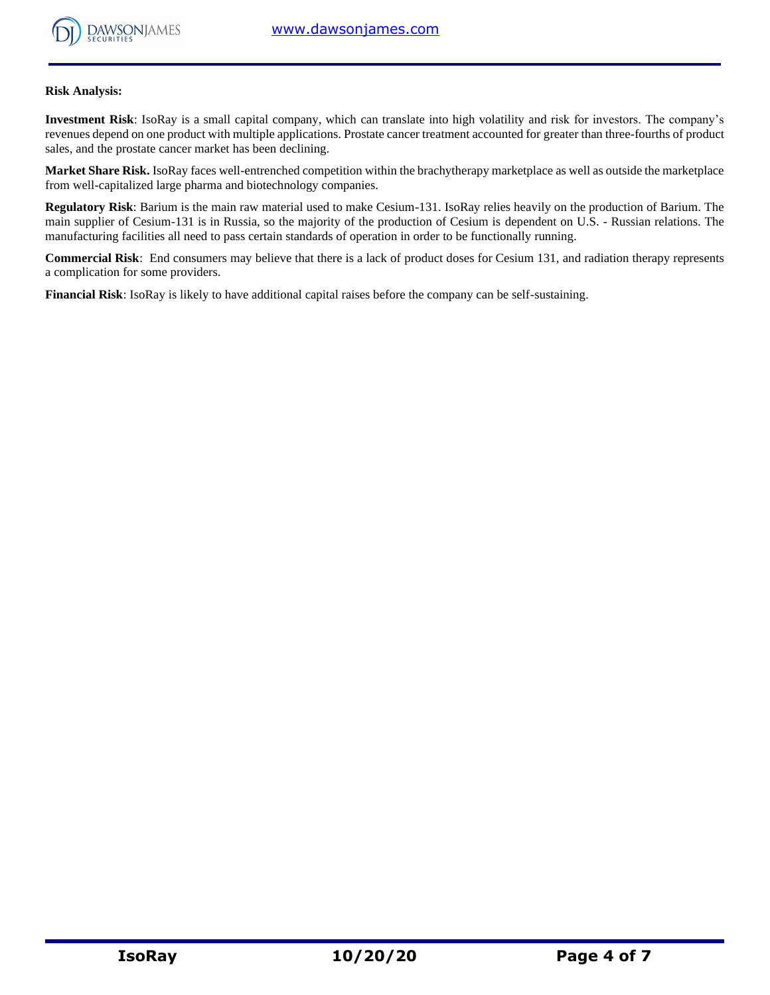

#### **Risk Analysis:**

**Investment Risk**: IsoRay is a small capital company, which can translate into high volatility and risk for investors. The company's revenues depend on one product with multiple applications. Prostate cancer treatment accounted for greater than three-fourths of product sales, and the prostate cancer market has been declining.

**Market Share Risk.** IsoRay faces well-entrenched competition within the brachytherapy marketplace as well as outside the marketplace from well-capitalized large pharma and biotechnology companies.

**Regulatory Risk**: Barium is the main raw material used to make Cesium-131. IsoRay relies heavily on the production of Barium. The main supplier of Cesium-131 is in Russia, so the majority of the production of Cesium is dependent on U.S. - Russian relations. The manufacturing facilities all need to pass certain standards of operation in order to be functionally running.

**Commercial Risk**: End consumers may believe that there is a lack of product doses for Cesium 131, and radiation therapy represents a complication for some providers.

**Financial Risk**: IsoRay is likely to have additional capital raises before the company can be self-sustaining.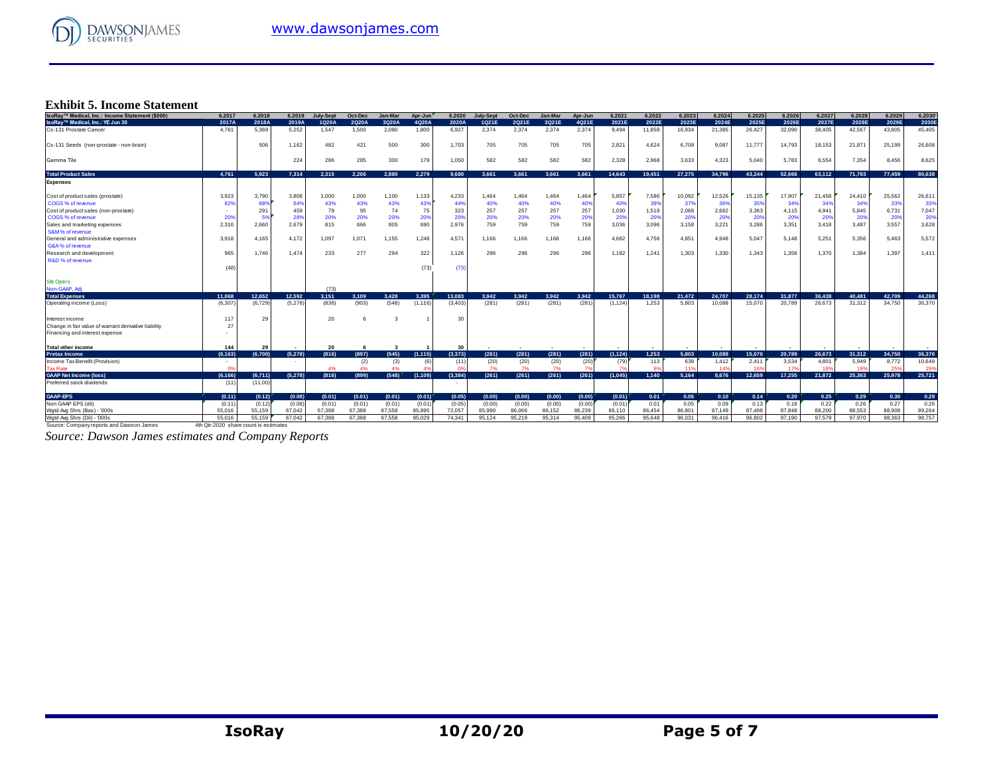

## **Exhibit 5. Income Statement**

| IsoRay™ Medical, Inc.: Income Statement (\$000)        | 6.2017                                | 6.2018  | 6.2019  | <b>July-Sept</b> | Oct-Dec | Jan-Mar | Apr-Jun  | 6.2020   | <b>July-Sept</b> | Oct-Dec | Jan-Mar | Apr-Jun | 6.2021   | 6.2022 | 6.2023 | 6.2024 | 6.2025 | 6.2026 | 6.2027 | 6.2028 | 6.2029 | 6.2030 |
|--------------------------------------------------------|---------------------------------------|---------|---------|------------------|---------|---------|----------|----------|------------------|---------|---------|---------|----------|--------|--------|--------|--------|--------|--------|--------|--------|--------|
| IsoRay™ Medical, Inc.: YE Jun 30                       | 2017A                                 | 2018A   | 2019A   | 1Q20A            | 2Q20A   | 3Q20A   | 4Q20A    | 2020A    | 1Q21E            | 2Q21E   | 3Q21E   | 4Q21E   | 2021E    | 2022E  | 2023E  | 2024E  | 2025E  | 2026E  | 2027E  | 2028E  | 2029E  | 2030E  |
| Cs-131 Prostate Cancer                                 | 4.761                                 | 5.369   | 5.252   | 1.547            | 1,500   | 2,080   | 1.800    | 6,927    | 2.374            | 2.374   | 2,374   | 2,374   | 9.494    | 11,858 | 16,934 | 21,385 | 26,427 | 32,090 | 38,405 | 42,567 | 43,805 | 45,405 |
| Cs-131 Seeds (non-prostate - non-brain)                |                                       | 506     | 1,162   | 482              | 421     | 500     | 300      | 1,703    | 705              | 705     | 705     | 705     | 2,821    | 4,624  | 6,708  | 9,087  | 11,777 | 14,793 | 18,153 | 21,87  | 25,199 | 26,608 |
| Gamma Tile                                             |                                       |         | 224     | 286              | 285     | 300     | 179      | 1,050    | 582              | 582     | 582     | 582     | 2,328    | 2.968  | 3.633  | 4,323  | 5,040  | 5.783  | 6.554  | 7,354  | 8,456  | 8,625  |
| <b>Total Product Sales</b>                             | 4.761                                 | 5.923   | 7.314   | 2.315            | 2.206   | 2.880   | 2.279    | 9.680    | 3.661            | 3.661   | 3.661   | 3.661   | 14.643   | 19.451 | 27.275 | 34,796 | 43.244 | 52.666 | 63.112 | 71.793 | 77.459 | 80.638 |
| <b>Expenses</b>                                        |                                       |         |         |                  |         |         |          |          |                  |         |         |         |          |        |        |        |        |        |        |        |        |        |
| Cost of product sales (prostate)                       | 3,923                                 | 3,790   | 3,808   | 1,000            | 1,000   | 1,100   | 1,133    | 4,233    | 1,464            | 1.464   | 1,464   | 1,464   | 5,857    | 7,586  | 10,092 | 12,526 | 15,135 | 17,907 | 21,458 | 24,410 | 25,562 | 26,611 |
| COGS % of revenue                                      | 82%                                   | 68%     | 64%     | 43%              | 43%     | 43%     | 439      | 44%      | 40%              | 40%     | 40%     | 40      | 40%      | 399    | 379    | 36%    | 35%    | 34%    | 349    | 349    | 339    | 33%    |
| Cost of product sales (non-prostate)                   |                                       | 291     | 459     | 79               | 95      | 74      | 75       | 323      | 257              | 257     | 257     | 257     | 1,030    | 1,518  | 2,068  | 2,682  | 3,363  | 4,115  | 4,941  | 5,845  | 6,731  | 7,047  |
| COGS % of revenue                                      | 20%                                   | 5%      | 28%     | 20%              | 20%     | 20%     | 20%      | 20%      | 20%              | 20%     | 20%     | 20%     | 20%      | 20%    | 20%    | 20%    | 20%    | 20%    | 20%    | 20%    | 20%    | 20%    |
| Sales and marketing expenses<br>S&M% of revenue        | 2.310                                 | 2,660   | 2,679   | 815              | 666     | 805     | 690      | 2,976    | 759              | 759     | 759     | 759     | 3,036    | 3,096  | 3,158  | 3,221  | 3,286  | 3.351  | 3.418  | 3.487  | 3,557  | 3,628  |
| General and administrative expenses<br>G&A% of revenue | 3.918                                 | 4.165   | 4.172   | 1,097            | 1,071   | 1,155   | 1,248    | 4,571    | 1.166            | 1,166   | 1,166   | 1,166   | 4,662    | 4,756  | 4,851  | 4,948  | 5.047  | 5.148  | 5,251  | 5,356  | 5.463  | 5,572  |
| Research and development                               | 965                                   | 1.746   | 1,474   | 233              | 277     | 294     | 322      | 1,126    | 296              | 296     | 296     | 296     | 1,182    | 1,241  | 1,303  | 1,330  | 1,343  | 1,356  | 1.370  | 1,384  | 1,397  | 1,411  |
| R&D % of revenue                                       |                                       |         |         |                  |         |         |          |          |                  |         |         |         |          |        |        |        |        |        |        |        |        |        |
|                                                        | (48)                                  |         |         |                  |         |         | (73)     | (73)     |                  |         |         |         |          |        |        |        |        |        |        |        |        |        |
| <b>Stk Optn's</b>                                      |                                       |         |         |                  |         |         |          |          |                  |         |         |         |          |        |        |        |        |        |        |        |        |        |
| Non-GAAP, Adi                                          |                                       |         |         | (73)             |         |         |          |          |                  |         |         |         |          |        |        |        |        |        |        |        |        |        |
| <b>Total Expenses</b>                                  | 11.068                                | 12.652  | 12.592  | 3,151            | 3.109   | 3.428   | 3.395    | 13.083   | 3.942            | 3.942   | 3.942   | 3.942   | 15,767   | 18.198 | 21,472 | 24,707 | 28.174 | 31.877 | 36,438 | 40.481 | 42.709 | 44,268 |
| Operating income (Loss)                                | (6, 307)                              | (6,729) | (5,278) | (836)            | (903)   | (548)   | (1, 116) | (3, 403) | (281)            | (281)   | (281)   | (281)   | (1, 124) | 1,253  | 5,803  | 10.088 | 15.070 | 20,789 | 26.673 | 31,312 | 34,750 | 36,370 |
| Interest income                                        | 117                                   | 29      |         | 20               | 6       |         |          | 30       |                  |         |         |         |          |        |        |        |        |        |        |        |        |        |
| Change in fair value of warrant derivative liability   | 27                                    |         |         |                  |         |         |          |          |                  |         |         |         |          |        |        |        |        |        |        |        |        |        |
| Financing and interest expense                         |                                       |         |         |                  |         |         |          |          |                  |         |         |         |          |        |        |        |        |        |        |        |        |        |
| <b>Total other income</b>                              | 144                                   | 29      |         | 20               |         | 3       |          | 30       |                  |         |         |         |          |        |        |        |        |        |        |        |        |        |
| <b>Pretax Income</b>                                   | (6, 163)                              | (6,700) | (5,278) | (816)            | (897)   | (545)   | (1, 115) | (3, 373) | (281)            | (281)   | (281)   | (281)   | (1.124)  | 1.253  | 5.803  | 10.088 | 15,070 | 20.789 | 26.673 | 31.312 | 34,750 | 36,370 |
| Income Tax Benefit (Provision)                         |                                       |         |         |                  | (2)     | (3)     |          | (11)     | (20)             | (20)    | (20)    | (20)    | (79)     | 113    | 638    | 1,412  | 2,411  | 3,534  | 4,801  | 5,949  | 8,772  | 10,649 |
| <b>Tax Rate</b>                                        | - 03                                  |         |         | 4%               | 4%      | 4%      |          | n        | 7%               | 7%      | 7%      | 7%      | -79      | 9%     | 119    | 14%    | 16%    | 17%    | 189    | 19%    | 25%    | 29%    |
| <b>GAAP Net Income (loss)</b>                          | (6, 166)                              | (6,711) | (5.278) | (816)            | (899)   | (548)   | (1, 109) | (3, 384) | (261)            | (261)   | (261)   | (261)   | (1,045)  | 1.140  | 5,164  | 8.676  | 12.659 | 17.255 | 21.872 | 25.363 | 25,978 | 25,721 |
| Preferred stock dividends                              | (11)                                  | (11.00) |         |                  |         |         |          | $\sim$   |                  |         |         |         |          |        |        |        |        |        |        |        |        |        |
| <b>GAAP-EPS</b>                                        | (0.11)                                | (0.12)  | (0.08)  | (0.01)           | (0.01)  | (0.01)  | (0.01)   | (0.05)   | (0.00)           | (0.00)  | (0.00)  | (0.00)  | (0.01)   | 0.01   | 0.06   | 0.10   | 0.14   | 0.20   | 0.25   | 0.29   | 0.30   | 0.29   |
| Non GAAP EPS (dil)                                     | (0.11)                                | (0.12)  | (0.08)  | (0.01)           | (0.01)  | (0.01)  | (0.01)   | (0.05)   | (0.00)           | (0.00)  | (0.00)  | (0.00)  | (0.01)   | 0.01   | 0.05   | 0.09   | 0.13   | 0.18   | 0.22   | 0.26   | 0.27   | 0.26   |
| Wgtd Avg Shrs (Bas) - '000s                            | 55.016                                | 55,159  | 67,042  | 67,388           | 67.388  | 67,558  | 85,895   | 72,057   | 85,980           | 86,066  | 86,152  | 86,239  | 86,110   | 86,454 | 86,801 | 87.149 | 87,498 | 87.848 | 88,200 | 88,553 | 88,908 | 89,264 |
| Watd Ava Shrs (Dil) - '000s                            | 55,016                                | 55.159  | 67.042  | 67.388           | 67.388  | 67.558  | 95.029   | 74.341   | 95.124           | 95.219  | 95.314  | 95.409  | 95.266   | 95.648 | 96.031 | 96,416 | 96.802 | 97.190 | 97.579 | 97,970 | 98.363 | 98,757 |
| Source: Company reports and Dawson James               | 4th Qtr-2020 share count is estimates |         |         |                  |         |         |          |          |                  |         |         |         |          |        |        |        |        |        |        |        |        |        |

*Source: Dawson James estimates and Company Reports*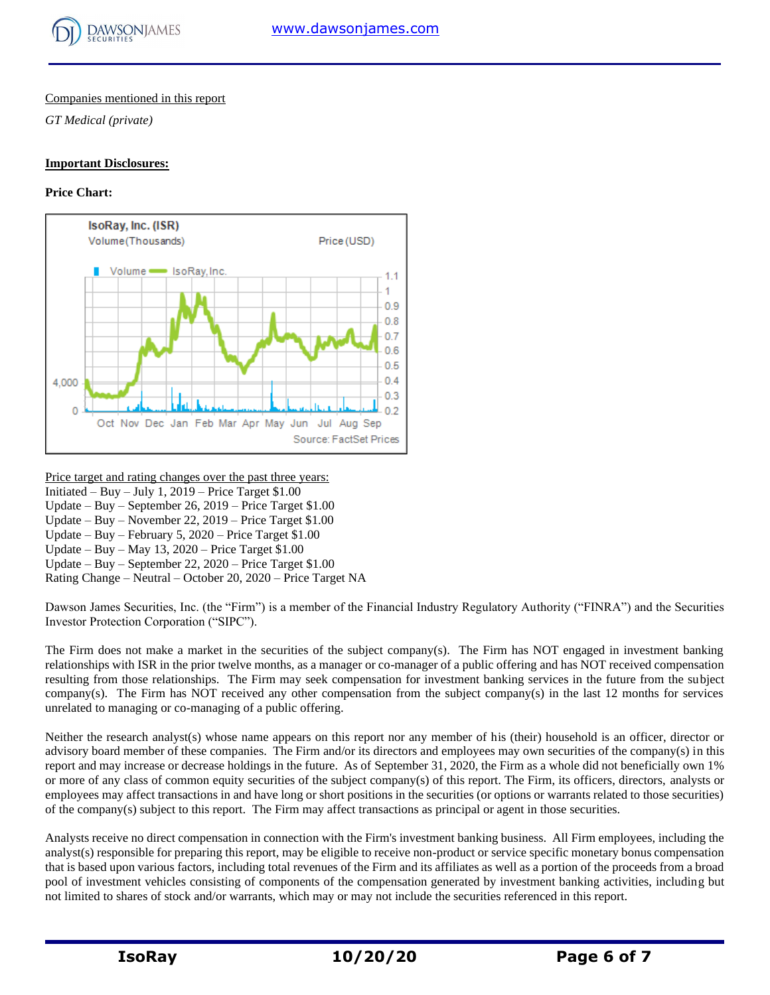

### Companies mentioned in this report

*GT Medical (private)*

#### **Important Disclosures:**

## **Price Chart:**



Price target and rating changes over the past three years: Initiated – Buy – July 1,  $2019$  – Price Target \$1.00 Update – Buy – September 26, 2019 – Price Target \$1.00 Update – Buy – November 22, 2019 – Price Target \$1.00 Update – Buy – February 5, 2020 – Price Target \$1.00 Update – Buy – May 13, 2020 – Price Target \$1.00 Update – Buy – September 22, 2020 – Price Target \$1.00 Rating Change – Neutral – October 20, 2020 – Price Target NA

Dawson James Securities, Inc. (the "Firm") is a member of the Financial Industry Regulatory Authority ("FINRA") and the Securities Investor Protection Corporation ("SIPC").

The Firm does not make a market in the securities of the subject company(s). The Firm has NOT engaged in investment banking relationships with ISR in the prior twelve months, as a manager or co-manager of a public offering and has NOT received compensation resulting from those relationships. The Firm may seek compensation for investment banking services in the future from the subject company(s). The Firm has NOT received any other compensation from the subject company(s) in the last 12 months for services unrelated to managing or co-managing of a public offering.

Neither the research analyst(s) whose name appears on this report nor any member of his (their) household is an officer, director or advisory board member of these companies. The Firm and/or its directors and employees may own securities of the company(s) in this report and may increase or decrease holdings in the future. As of September 31, 2020, the Firm as a whole did not beneficially own 1% or more of any class of common equity securities of the subject company(s) of this report. The Firm, its officers, directors, analysts or employees may affect transactions in and have long or short positions in the securities (or options or warrants related to those securities) of the company(s) subject to this report. The Firm may affect transactions as principal or agent in those securities.

Analysts receive no direct compensation in connection with the Firm's investment banking business. All Firm employees, including the analyst(s) responsible for preparing this report, may be eligible to receive non-product or service specific monetary bonus compensation that is based upon various factors, including total revenues of the Firm and its affiliates as well as a portion of the proceeds from a broad pool of investment vehicles consisting of components of the compensation generated by investment banking activities, including but not limited to shares of stock and/or warrants, which may or may not include the securities referenced in this report.